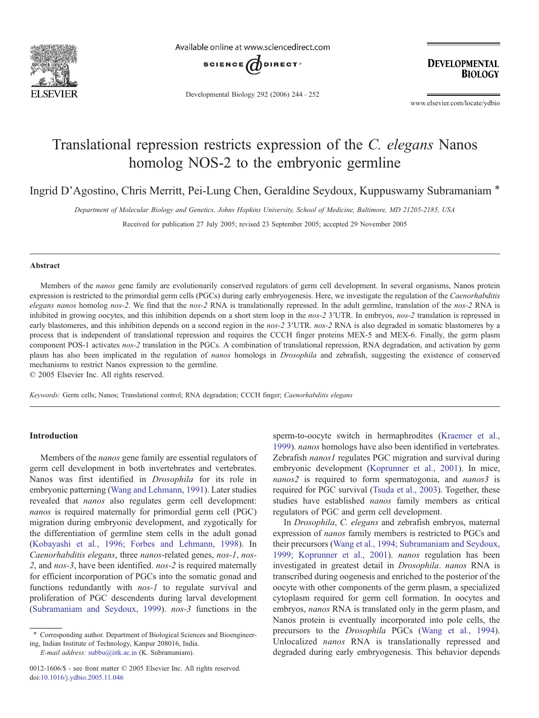

Available online at www.sciencedirect.com



Developmental Biology 292 (2006) 244–252

**DEVELOPMENTAL BIOLOGY** 

www.elsevier.com/locate/ydbio

# Translational repression restricts expression of the *C. elegans* Nanos homolog NOS-2 to the embryonic germline

Ingrid D'Agostino, Chris Merritt, Pei-Lung Chen, Geraldine Seydoux, Kuppuswamy Subramaniam \*

*Department of Molecular Biology and Genetics, Johns Hopkins University, School of Medicine, Baltimore, MD 21205-2185, USA*

Received for publication 27 July 2005; revised 23 September 2005; accepted 29 November 2005

## Abstract

Members of the *nanos* gene family are evolutionarily conserved regulators of germ cell development. In several organisms, Nanos protein expression is restricted to the primordial germ cells (PGCs) during early embryogenesis. Here, we investigate the regulation of the *Caenorhabditis elegans nanos* homolog *nos-2*. We find that the *nos-2* RNA is translationally repressed. In the adult germline, translation of the *nos-2* RNA is inhibited in growing oocytes, and this inhibition depends on a short stem loop in the *nos-2* 3′UTR. In embryos, *nos-2* translation is repressed in early blastomeres, and this inhibition depends on a second region in the *nos-2* 3<sup>*'*</sup>UTR. *nos-2* RNA is also degraded in somatic blastomeres by a process that is independent of translational repression and requires the CCCH finger proteins MEX-5 and MEX-6. Finally, the germ plasm component POS-1 activates *nos-2* translation in the PGCs. A combination of translational repression, RNA degradation, and activation by germ plasm has also been implicated in the regulation of *nanos* homologs in *Drosophila* and zebrafish, suggesting the existence of conserved mechanisms to restrict Nanos expression to the germline.

© 2005 Elsevier Inc. All rights reserved.

*Keywords:* Germ cells; Nanos; Translational control; RNA degradation; CCCH finger; *Caenorhabditis elegans*

## Introduction

Members of the *nanos* gene family are essential regulators of germ cell development in both invertebrates and vertebrates. Nanos was first identified in *Drosophila* for its role in embryonic patterning (Wang and Lehmann, 1991). Later studies revealed that *nanos* also regulates germ cell development: *nanos* is required maternally for primordial germ cell (PGC) migration during embryonic development, and zygotically for the differentiation of germline stem cells in the adult gonad (Kobayashi et al., 1996; Forbes and Lehmann, 1998). In *Caenorhabditis elegans*, three *nanos*-related genes, *nos-1*, *nos-2*, and *nos-3*, have been identified. *nos-2* is required maternally for efficient incorporation of PGCs into the somatic gonad and functions redundantly with *nos-1* to regulate survival and proliferation of PGC descendents during larval development (Subramaniam and Seydoux, 1999). *nos-3* functions in the

*E-mail address:* subbu@iitk.ac.in (K. Subramaniam).

0012-1606/\$ - see front matter © 2005 Elsevier Inc. All rights reserved. doi:10.1016/j.ydbio.2005.11.046

sperm-to-oocyte switch in hermaphrodites (Kraemer et al., 1999). *nanos* homologs have also been identified in vertebrates. Zebrafish *nanos1* regulates PGC migration and survival during embryonic development (Koprunner et al., 2001). In mice, *nanos2* is required to form spermatogonia, and *nanos3* is required for PGC survival (Tsuda et al., 2003). Together, these studies have established *nanos* family members as critical regulators of PGC and germ cell development.

In *Drosophila*, *C. elegans* and zebrafish embryos, maternal expression of *nanos* family members is restricted to PGCs and their precursors (Wang et al., 1994; Subramaniam and Seydoux, 1999; Koprunner et al., 2001). *nanos* regulation has been investigated in greatest detail in *Drosophila*. *nanos* RNA is transcribed during oogenesis and enriched to the posterior of the oocyte with other components of the germ plasm, a specialized cytoplasm required for germ cell formation. In oocytes and embryos, *nanos* RNA is translated only in the germ plasm, and Nanos protein is eventually incorporated into pole cells, the precursors to the *Drosophila* PGCs (Wang et al., 1994). Unlocalized *nanos* RNA is translationally repressed and degraded during early embryogenesis. This behavior depends

<sup>⁎</sup> Corresponding author. Department of Biological Sciences and Bioengineering, Indian Institute of Technology, Kanpur 208016, India.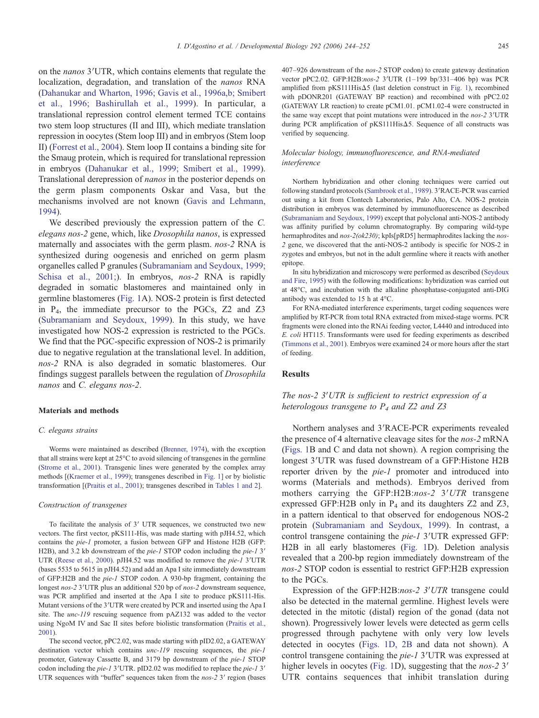on the *nanos* 3′UTR, which contains elements that regulate the localization, degradation, and translation of the *nanos* RNA (Dahanukar and Wharton, 1996; Gavis et al., 1996a,b; Smibert et al., 1996; Bashirullah et al., 1999). In particular, a translational repression control element termed TCE contains two stem loop structures (II and III), which mediate translation repression in oocytes (Stem loop III) and in embryos (Stem loop II) (Forrest et al., 2004). Stem loop II contains a binding site for the Smaug protein, which is required for translational repression in embryos (Dahanukar et al., 1999; Smibert et al., 1999). Translational derepression of *nanos* in the posterior depends on the germ plasm components Oskar and Vasa, but the mechanisms involved are not known (Gavis and Lehmann, 1994).

We described previously the expression pattern of the *C. elegans nos-2* gene, which, like *Drosophila nanos*, is expressed maternally and associates with the germ plasm. *nos-2* RNA is synthesized during oogenesis and enriched on germ plasm organelles called P granules (Subramaniam and Seydoux, 1999; Schisa et al., 2001;). In embryos, *nos-2* RNA is rapidly degraded in somatic blastomeres and maintained only in germline blastomeres (Fig. 1A). NOS-2 protein is first detected in P4, the immediate precursor to the PGCs, Z2 and Z3 (Subramaniam and Seydoux, 1999). In this study, we have investigated how NOS-2 expression is restricted to the PGCs. We find that the PGC-specific expression of NOS-2 is primarily due to negative regulation at the translational level. In addition, *nos-2* RNA is also degraded in somatic blastomeres. Our findings suggest parallels between the regulation of *Drosophila nanos* and *C. elegans nos-2*.

#### Materials and methods

#### *C. elegans strains*

Worms were maintained as described (Brenner, 1974), with the exception that all strains were kept at 25°C to avoid silencing of transgenes in the germline (Strome et al., 2001). Transgenic lines were generated by the complex array methods [(Kraemer et al., 1999); transgenes described in Fig. 1] or by biolistic transformation [(Praitis et al., 2001); transgenes described in Tables 1 and 2].

#### *Construction of transgenes*

To facilitate the analysis of 3′ UTR sequences, we constructed two new vectors. The first vector, pKS111-His, was made starting with pJH4.52, which contains the *pie-1* promoter, a fusion between GFP and Histone H2B (GFP: H2B), and 3.2 kb downstream of the *pie-1* STOP codon including the *pie-1* 3′ UTR (Reese et al., 2000). pJH4.52 was modified to remove the *pie-1* 3′UTR (bases 5535 to 5615 in pJH4.52) and add an Apa I site immediately downstream of GFP:H2B and the *pie-1* STOP codon. A 930-bp fragment, containing the longest *nos-2* 3′UTR plus an additional 520 bp of *nos-2* downstream sequence, was PCR amplified and inserted at the Apa I site to produce pKS111-His. Mutant versions of the 3′UTR were created by PCR and inserted using the Apa I site. The *unc-119* rescuing sequence from pAZ132 was added to the vector using NgoM IV and Sac II sites before biolistic transformation (Praitis et al., 2001).

The second vector, pPC2.02, was made starting with pID2.02, a GATEWAY destination vector which contains *unc-119* rescuing sequences, the *pie-1* promoter, Gateway Cassette B, and 3179 bp downstream of the *pie-1* STOP codon including the *pie-1* 3′UTR. pID2.02 was modified to replace the *pie-1* 3′ UTR sequences with "buffer" sequences taken from the *nos-2* 3′ region (bases 407–926 downstream of the *nos-2* STOP codon) to create gateway destination vector pPC2.02. GFP:H2B:*nos-2* 3′UTR (1–199 bp/331–406 bp) was PCR amplified from pKS111HisΔ5 (last deletion construct in Fig. 1), recombined with pDONR201 (GATEWAY BP reaction) and recombined with pPC2.02 (GATEWAY LR reaction) to create pCM1.01. pCM1.02-4 were constructed in the same way except that point mutations were introduced in the *nos-2* 3′UTR during PCR amplification of pKS111HisΔ5. Sequence of all constructs was verified by sequencing.

## *Molecular biology, immunofluorescence, and RNA-mediated interference*

Northern hybridization and other cloning techniques were carried out following standard protocols (Sambrook et al., 1989). 3′RACE-PCR was carried out using a kit from Clontech Laboratories, Palo Alto, CA. NOS-2 protein distribution in embryos was determined by immunofluorescence as described (Subramaniam and Seydoux, 1999) except that polyclonal anti-NOS-2 antibody was affinity purified by column chromatography. By comparing wild-type hermaphrodites and *nos-2(ok230)*; kpIs[pRD5] hermaphrodites lacking the *nos-2* gene, we discovered that the anti-NOS-2 antibody is specific for NOS-2 in zygotes and embryos, but not in the adult germline where it reacts with another epitope.

In situ hybridization and microscopy were performed as described (Seydoux and Fire, 1995) with the following modifications: hybridization was carried out at 48°C, and incubation with the alkaline phosphatase-conjugated anti-DIG antibody was extended to 15 h at 4°C.

For RNA-mediated interference experiments, target coding sequences were amplified by RT-PCR from total RNA extracted from mixed-stage worms. PCR fragments were cloned into the RNAi feeding vector, L4440 and introduced into *E. coli* HT115. Transformants were used for feeding experiments as described (Timmons et al., 2001). Embryos were examined 24 or more hours after the start of feeding.

#### **Results**

# *The nos-2 3*′*UTR is sufficient to restrict expression of a heterologous transgene to P<sup>4</sup> and Z2 and Z3*

Northern analyses and 3′RACE-PCR experiments revealed the presence of 4 alternative cleavage sites for the *nos-2* mRNA (Figs. 1B and C and data not shown). A region comprising the longest 3′UTR was fused downstream of a GFP:Histone H2B reporter driven by the *pie-1* promoter and introduced into worms (Materials and methods). Embryos derived from mothers carrying the GFP:H2B:*nos-2* 3′*UTR* transgene expressed GFP:H2B only in  $P_4$  and its daughters Z2 and Z3, in a pattern identical to that observed for endogenous NOS-2 protein (Subramaniam and Seydoux, 1999). In contrast, a control transgene containing the *pie-1* 3′UTR expressed GFP: H2B in all early blastomeres (Fig. 1D). Deletion analysis revealed that a 200-bp region immediately downstream of the *nos-2* STOP codon is essential to restrict GFP:H2B expression to the PGCs.

Expression of the GFP:H2B:*nos-2 3*′*UTR* transgene could also be detected in the maternal germline. Highest levels were detected in the mitotic (distal) region of the gonad (data not shown). Progressively lower levels were detected as germ cells progressed through pachytene with only very low levels detected in oocytes (Figs. 1D, 2B and data not shown). A control transgene containing the *pie-1* 3′UTR was expressed at higher levels in oocytes (Fig. 1D), suggesting that the *nos-2* 3′ UTR contains sequences that inhibit translation during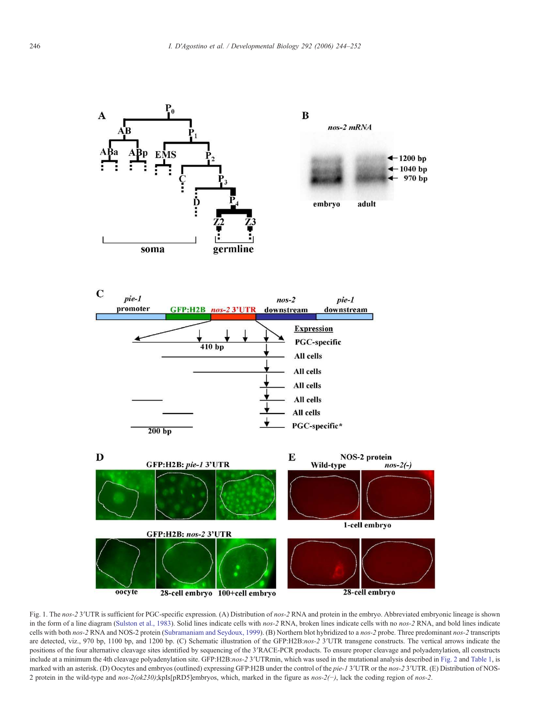



Fig. 1. The *nos-2* 3′UTR is sufficient for PGC-specific expression. (A) Distribution of *nos-2* RNA and protein in the embryo. Abbreviated embryonic lineage is shown in the form of a line diagram (Sulston et al., 1983). Solid lines indicate cells with *nos-2* RNA, broken lines indicate cells with no *nos-2* RNA, and bold lines indicate cells with both *nos-2* RNA and NOS-2 protein (Subramaniam and Seydoux, 1999). (B) Northern blot hybridized to a *nos-2* probe. Three predominant *nos-2* transcripts are detected, viz., 970 bp, 1100 bp, and 1200 bp. (C) Schematic illustration of the GFP:H2B:*nos-2* 3′UTR transgene constructs. The vertical arrows indicate the positions of the four alternative cleavage sites identified by sequencing of the 3′RACE-PCR products. To ensure proper cleavage and polyadenylation, all constructs include at a minimum the 4th cleavage polyadenylation site. GFP:H2B:*nos-2* 3′UTRmin, which was used in the mutational analysis described in Fig. 2 and Table 1, is marked with an asterisk. (D) Oocytes and embryos (outlined) expressing GFP:H2B under the control of the *pie-1* 3′UTR or the *nos-2* 3′UTR. (E) Distribution of NOS-2 protein in the wild-type and *nos-2(ok230)*;kpIs[pRD5]embryos, which, marked in the figure as *nos-2(*−*)*, lack the coding region of *nos-2*.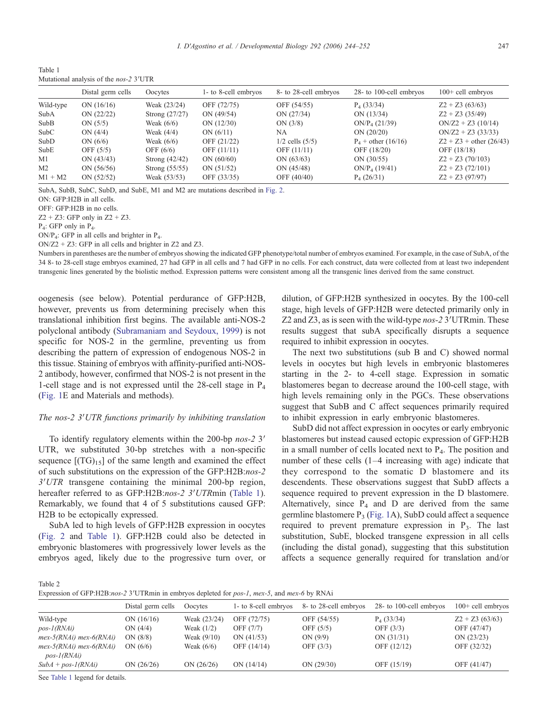Table 1 Mutational analysis of the *nos-2* 3′UTR

|                | Distal germ cells | Oocytes          | 1- to 8-cell embryos | 8- to 28-cell embryos | 28- to 100-cell embryos   | $100+$ cell embryos       |
|----------------|-------------------|------------------|----------------------|-----------------------|---------------------------|---------------------------|
| Wild-type      | ON $(16/16)$      | Weak (23/24)     | OFF (72/75)          | OFF (54/55)           | $P_4$ (33/34)             | $Z2 + Z3(63/63)$          |
| SubA           | ON (22/22)        | Strong (27/27)   | ON $(49/54)$         | ON (27/34)            | ON $(13/34)$              | $Z2 + Z3$ (35/49)         |
| SubB           | ON $(5/5)$        | Weak $(6/6)$     | ON $(12/30)$         | ON(3/8)               | ON/P <sub>4</sub> (21/39) | $ON/Z2 + Z3 (10/14)$      |
| <b>SubC</b>    | ON $(4/4)$        | Weak $(4/4)$     | ON $(6/11)$          | NA                    | ON $(20/20)$              | $ON/Z2 + Z3 (33/33)$      |
| SubD           | ON $(6/6)$        | Weak $(6/6)$     | OFF (21/22)          | $1/2$ cells $(5/5)$   | $P_4$ + other (16/16)     | $Z2 + Z3 + other (26/43)$ |
| SubE           | OFF $(5/5)$       | OFF $(6/6)$      | OFF (11/11)          | OFF $(11/11)$         | OFF (18/20)               | OFF (18/18)               |
| M1             | ON (43/43)        | Strong $(42/42)$ | ON $(60/60)$         | ON $(63/63)$          | ON $(30/55)$              | $Z2 + Z3 (70/103)$        |
| M <sub>2</sub> | ON $(56/56)$      | Strong $(55/55)$ | ON $(51/52)$         | ON $(45/48)$          | ON/P <sub>4</sub> (19/41) | $Z2 + Z3 (72/101)$        |
| $M1 + M2$      | ON $(52/52)$      | Weak (53/53)     | OFF (33/35)          | OFF (40/40)           | $P_4(26/31)$              | $Z2 + Z3(97/97)$          |

SubA, SubB, SubC, SubD, and SubE, M1 and M2 are mutations described in Fig. 2.

ON: GFP:H2B in all cells.

OFF: GFP:H2B in no cells.

 $Z2 + Z3$ : GFP only in  $Z2 + Z3$ .

P4 : GFP only in P<sup>4</sup> .

ON/P4: GFP in all cells and brighter in P4.

ON/Z2 + Z3: GFP in all cells and brighter in Z2 and Z3.

Numbers in parentheses are the number of embryos showing the indicated GFP phenotype/total number of embryos examined. For example, in the case of SubA, of the 34 8- to 28-cell stage embryos examined, 27 had GFP in all cells and 7 had GFP in no cells. For each construct, data were collected from at least two independent transgenic lines generated by the biolistic method. Expression patterns were consistent among all the transgenic lines derived from the same construct.

oogenesis (see below). Potential perdurance of GFP:H2B, however, prevents us from determining precisely when this translational inhibition first begins. The available anti-NOS-2 polyclonal antibody (Subramaniam and Seydoux, 1999) is not specific for NOS-2 in the germline, preventing us from describing the pattern of expression of endogenous NOS-2 in this tissue. Staining of embryos with affinity-purified anti-NOS-2 antibody, however, confirmed that NOS-2 is not present in the 1-cell stage and is not expressed until the 28-cell stage in  $P_4$ (Fig. 1E and Materials and methods).

## *The nos-2 3*′*UTR functions primarily by inhibiting translation*

To identify regulatory elements within the 200-bp *nos-2* 3′ UTR, we substituted 30-bp stretches with a non-specific sequence  $[(TG)_{15}]$  of the same length and examined the effect of such substitutions on the expression of the GFP:H2B:*nos-2 3*′*UTR* transgene containing the minimal 200-bp region, hereafter referred to as GFP:H2B:*nos-2 3*′*UTR*min (Table 1). Remarkably, we found that 4 of 5 substitutions caused GFP: H2B to be ectopically expressed.

SubA led to high levels of GFP:H2B expression in oocytes (Fig. 2 and Table 1). GFP:H2B could also be detected in embryonic blastomeres with progressively lower levels as the embryos aged, likely due to the progressive turn over, or dilution, of GFP:H2B synthesized in oocytes. By the 100-cell stage, high levels of GFP:H2B were detected primarily only in Z2 and Z3, as is seen with the wild-type *nos-2* 3′UTRmin. These results suggest that subA specifically disrupts a sequence required to inhibit expression in oocytes.

The next two substitutions (sub B and C) showed normal levels in oocytes but high levels in embryonic blastomeres starting in the 2- to 4-cell stage. Expression in somatic blastomeres began to decrease around the 100-cell stage, with high levels remaining only in the PGCs. These observations suggest that SubB and C affect sequences primarily required to inhibit expression in early embryonic blastomeres.

SubD did not affect expression in oocytes or early embryonic blastomeres but instead caused ectopic expression of GFP:H2B in a small number of cells located next to  $P<sub>4</sub>$ . The position and number of these cells (1–4 increasing with age) indicate that they correspond to the somatic D blastomere and its descendents. These observations suggest that SubD affects a sequence required to prevent expression in the D blastomere. Alternatively, since  $P_4$  and D are derived from the same germline blastomere  $P_3$  (Fig. 1A), SubD could affect a sequence required to prevent premature expression in  $P_3$ . The last substitution, SubE, blocked transgene expression in all cells (including the distal gonad), suggesting that this substitution affects a sequence generally required for translation and/or

Table 2

Expression of GFP:H2B:*nos-2* 3′UTRmin in embryos depleted for *pos-1*, *mex-5*, and *mex-6* by RNAi

|                                               | Distal germ cells | Oocytes       | 1- to 8-cell embryos | 8- to 28-cell embryos | 28- to 100-cell embryos | $100+$ cell embryos |
|-----------------------------------------------|-------------------|---------------|----------------------|-----------------------|-------------------------|---------------------|
| Wild-type                                     | ON $(16/16)$      | Weak (23/24)  | OFF (72/75)          | OFF (54/55)           | $P_4$ (33/34)           | $Z2 + Z3(63/63)$    |
| $pos-I(RNAi)$                                 | ON $(4/4)$        | Weak $(1/2)$  | OFF $(7/7)$          | OFF $(5/5)$           | OFF $(3/3)$             | OFF (47/47)         |
| $mex-5(RNAi)$ mex- $6(RNAi)$                  | ON(8/8)           | Weak $(9/10)$ | ON $(41/53)$         | ON(9/9)               | ON(31/31)               | ON $(23/23)$        |
| $mex-5(RNAi)$ mex- $6(RNAi)$<br>$pos-I(RNAi)$ | ON $(6/6)$        | Weak $(6/6)$  | OFF (14/14)          | OFF $(3/3)$           | OFF (12/12)             | OFF (32/32)         |
| $SubA + pos-I(RNAi)$                          | ON $(26/26)$      | ON $(26/26)$  | ON (14/14)           | ON (29/30)            | OFF (15/19)             | OFF (41/47)         |
|                                               |                   |               |                      |                       |                         |                     |

See Table 1 legend for details.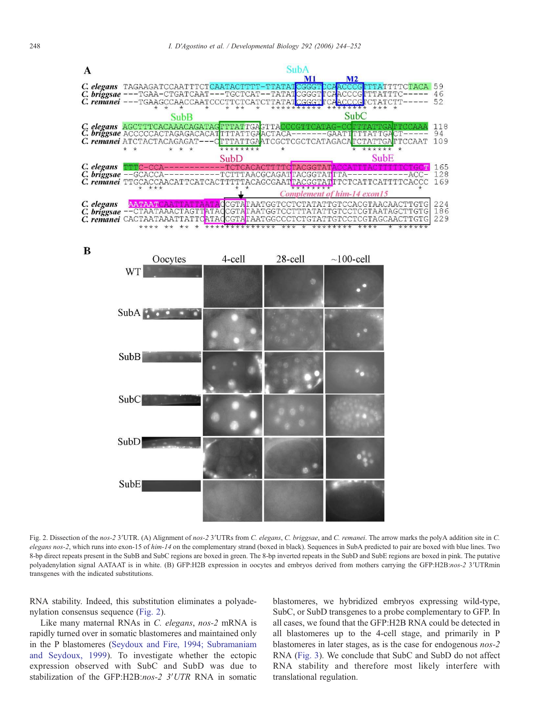

B



Fig. 2. Dissection of the *nos-2* 3′UTR. (A) Alignment of *nos-2* 3′UTRs from *C. elegans*, *C. briggsae*, and *C. remanei*. The arrow marks the polyA addition site in *C. elegans nos-2*, which runs into exon-15 of *him-14* on the complementary strand (boxed in black). Sequences in SubA predicted to pair are boxed with blue lines. Two 8-bp direct repeats present in the SubB and SubC regions are boxed in green. The 8-bp inverted repeats in the SubD and SubE regions are boxed in pink. The putative polyadenylation signal AATAAT is in white. (B) GFP:H2B expression in oocytes and embryos derived from mothers carrying the GFP:H2B:*nos-2* 3′UTRmin transgenes with the indicated substitutions.

RNA stability. Indeed, this substitution eliminates a polyadenylation consensus sequence (Fig. 2).

Like many maternal RNAs in *C. elegans*, *nos-2* mRNA is rapidly turned over in somatic blastomeres and maintained only in the P blastomeres (Seydoux and Fire, 1994; Subramaniam and Seydoux, 1999). To investigate whether the ectopic expression observed with SubC and SubD was due to stabilization of the GFP:H2B:*nos-2 3*′*UTR* RNA in somatic

blastomeres, we hybridized embryos expressing wild-type, SubC, or SubD transgenes to a probe complementary to GFP. In all cases, we found that the GFP:H2B RNA could be detected in all blastomeres up to the 4-cell stage, and primarily in P blastomeres in later stages, as is the case for endogenous *nos-2* RNA (Fig. 3). We conclude that SubC and SubD do not affect RNA stability and therefore most likely interfere with translational regulation.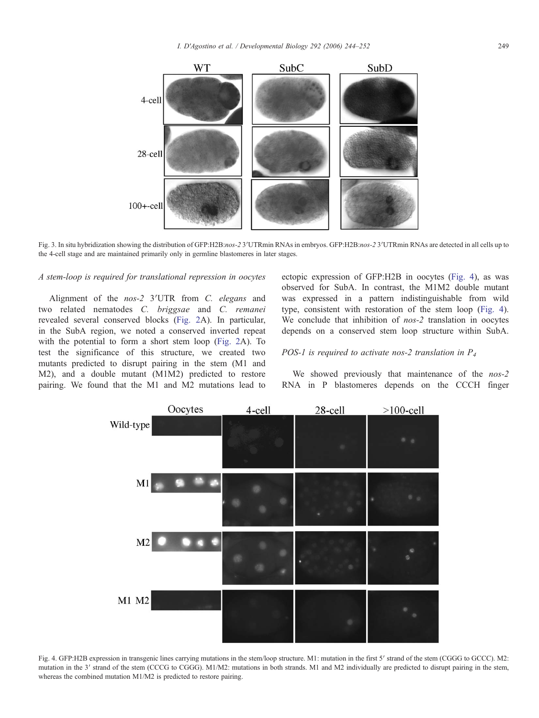

Fig. 3. In situ hybridization showing the distribution of GFP:H2B:*nos-2* 3′UTRmin RNAs in embryos. GFP:H2B:*nos-2* 3′UTRmin RNAs are detected in all cells up to the 4-cell stage and are maintained primarily only in germline blastomeres in later stages.

#### *A stem-loop is required for translational repression in oocytes*

Alignment of the *nos-2* 3′UTR from *C. elegans* and two related nematodes *C. briggsae* and *C. remanei* revealed several conserved blocks (Fig. 2A). In particular, in the SubA region, we noted a conserved inverted repeat with the potential to form a short stem loop (Fig. 2A). To test the significance of this structure, we created two mutants predicted to disrupt pairing in the stem (M1 and M2), and a double mutant (M1M2) predicted to restore pairing. We found that the M1 and M2 mutations lead to ectopic expression of GFP:H2B in oocytes (Fig. 4), as was observed for SubA. In contrast, the M1M2 double mutant was expressed in a pattern indistinguishable from wild type, consistent with restoration of the stem loop (Fig. 4). We conclude that inhibition of *nos-2* translation in oocytes depends on a conserved stem loop structure within SubA.

# *POS-1 is required to activate nos-2 translation in P<sup>4</sup>*

We showed previously that maintenance of the *nos-2* RNA in P blastomeres depends on the CCCH finger



Fig. 4. GFP:H2B expression in transgenic lines carrying mutations in the stem/loop structure. M1: mutation in the first 5′ strand of the stem (CGGG to GCCC). M2: mutation in the 3' strand of the stem (CCCG to CGGG). M1/M2: mutations in both strands. M1 and M2 individually are predicted to disrupt pairing in the stem, whereas the combined mutation M1/M2 is predicted to restore pairing.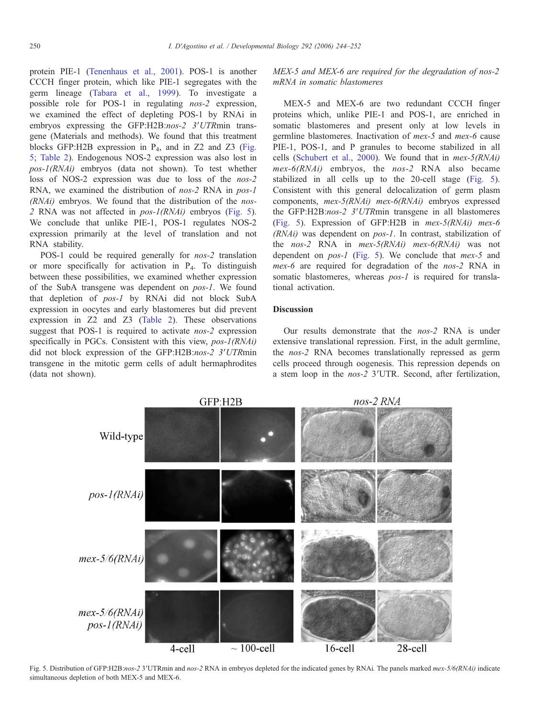protein PIE-1 (Tenenhaus et al., 2001). POS-1 is another CCCH finger protein, which like PIE-1 segregates with the germ lineage (Tabara et al., 1999). To investigate a possible role for POS-1 in regulating *nos-2* expression, we examined the effect of depleting POS-1 by RNAi in embryos expressing the GFP:H2B:*nos-2 3*′*UTR*min transgene (Materials and methods). We found that this treatment blocks GFP:H2B expression in  $P_4$ , and in Z2 and Z3 (Fig. 5; Table 2). Endogenous NOS-2 expression was also lost in *pos-1(RNAi)* embryos (data not shown). To test whether loss of NOS-2 expression was due to loss of the *nos-2* RNA, we examined the distribution of *nos-2* RNA in *pos-1 (RNAi)* embryos. We found that the distribution of the *nos-2* RNA was not affected in *pos-1(RNAi)* embryos (Fig. 5). We conclude that unlike PIE-1, POS-1 regulates NOS-2 expression primarily at the level of translation and not RNA stability.

POS-1 could be required generally for *nos-2* translation or more specifically for activation in P<sup>4</sup> . To distinguish between these possibilities, we examined whether expression of the SubA transgene was dependent on *pos-1*. We found that depletion of *pos-1* by RNAi did not block SubA expression in oocytes and early blastomeres but did prevent expression in Z2 and Z3 (Table 2). These observations suggest that POS-1 is required to activate *nos-2* expression specifically in PGCs. Consistent with this view, *pos-1(RNAi)* did not block expression of the GFP:H2B:*nos-2 3*′*UTR*min transgene in the mitotic germ cells of adult hermaphrodites (data not shown).

*MEX-5 and MEX-6 are required for the degradation of nos-2 mRNA in somatic blastomeres*

MEX-5 and MEX-6 are two redundant CCCH finger proteins which, unlike PIE-1 and POS-1, are enriched in somatic blastomeres and present only at low levels in germline blastomeres. Inactivation of *mex-5* and *mex-6* cause PIE-1, POS-1, and P granules to become stabilized in all cells (Schubert et al., 2000). We found that in *mex-5(RNAi) mex-6(RNAi)* embryos, the *nos-2* RNA also became stabilized in all cells up to the 20-cell stage (Fig. 5). Consistent with this general delocalization of germ plasm components, *mex-5(RNAi) mex-6(RNAi)* embryos expressed the GFP:H2B:*nos-2 3*′*UTR*min transgene in all blastomeres (Fig. 5). Expression of GFP:H2B in *mex-5(RNAi) mex-6 (RNAi)* was dependent on *pos-1*. In contrast, stabilization of the *nos-2* RNA in *mex-5(RNAi) mex-6(RNAi)* was not dependent on *pos-1* (Fig. 5). We conclude that *mex-5* and *mex-6* are required for degradation of the *nos-2* RNA in somatic blastomeres, whereas *pos-1* is required for translational activation.

# **Discussion**

Our results demonstrate that the *nos-2* RNA is under extensive translational repression. First, in the adult germline, the *nos-2* RNA becomes translationally repressed as germ cells proceed through oogenesis. This repression depends on a stem loop in the *nos-2* 3′UTR. Second, after fertilization,



Fig. 5. Distribution of GFP:H2B:*nos-2* 3′UTRmin and *nos-2* RNA in embryos depleted for the indicated genes by RNAi*.* The panels marked *mex-5/6(RNAi)* indicate simultaneous depletion of both MEX-5 and MEX-6.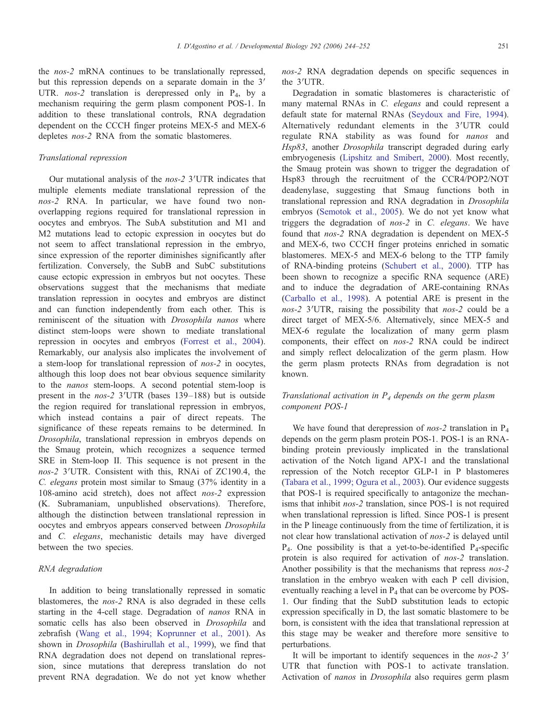the *nos-2* mRNA continues to be translationally repressed, but this repression depends on a separate domain in the 3′ UTR. *nos-2* translation is derepressed only in P<sub>4</sub>, by a mechanism requiring the germ plasm component POS-1. In addition to these translational controls, RNA degradation dependent on the CCCH finger proteins MEX-5 and MEX-6 depletes *nos-2* RNA from the somatic blastomeres.

# *Translational repression*

Our mutational analysis of the *nos-2* 3′UTR indicates that multiple elements mediate translational repression of the *nos-2* RNA*.* In particular, we have found two nonoverlapping regions required for translational repression in oocytes and embryos. The SubA substitution and M1 and M2 mutations lead to ectopic expression in oocytes but do not seem to affect translational repression in the embryo, since expression of the reporter diminishes significantly after fertilization. Conversely, the SubB and SubC substitutions cause ectopic expression in embryos but not oocytes. These observations suggest that the mechanisms that mediate translation repression in oocytes and embryos are distinct and can function independently from each other. This is reminiscent of the situation with *Drosophila nanos* where distinct stem-loops were shown to mediate translational repression in oocytes and embryos (Forrest et al., 2004). Remarkably, our analysis also implicates the involvement of a stem-loop for translational repression of *nos-2* in oocytes, although this loop does not bear obvious sequence similarity to the *nanos* stem-loops. A second potential stem-loop is present in the *nos-2* 3′UTR (bases 139–188) but is outside the region required for translational repression in embryos, which instead contains a pair of direct repeats. The significance of these repeats remains to be determined. In *Drosophila*, translational repression in embryos depends on the Smaug protein, which recognizes a sequence termed SRE in Stem-loop II. This sequence is not present in the *nos-2* 3′UTR. Consistent with this, RNAi of ZC190.4, the *C. elegans* protein most similar to Smaug (37% identity in a 108-amino acid stretch), does not affect *nos-2* expression (K. Subramaniam, unpublished observations). Therefore, although the distinction between translational repression in oocytes and embryos appears conserved between *Drosophila* and *C. elegans*, mechanistic details may have diverged between the two species.

## *RNA degradation*

In addition to being translationally repressed in somatic blastomeres, the *nos-2* RNA is also degraded in these cells starting in the 4-cell stage. Degradation of *nanos* RNA in somatic cells has also been observed in *Drosophila* and zebrafish (Wang et al., 1994; Koprunner et al., 2001). As shown in *Drosophila* (Bashirullah et al., 1999), we find that RNA degradation does not depend on translational repression, since mutations that derepress translation do not prevent RNA degradation. We do not yet know whether *nos-2* RNA degradation depends on specific sequences in the 3′UTR.

Degradation in somatic blastomeres is characteristic of many maternal RNAs in *C. elegans* and could represent a default state for maternal RNAs (Seydoux and Fire, 1994). Alternatively redundant elements in the 3′UTR could regulate RNA stability as was found for *nanos* and *Hsp83*, another *Drosophila* transcript degraded during early embryogenesis (Lipshitz and Smibert, 2000). Most recently, the Smaug protein was shown to trigger the degradation of Hsp83 through the recruitment of the CCR4/POP2/NOT deadenylase, suggesting that Smaug functions both in translational repression and RNA degradation in *Drosophila* embryos (Semotok et al., 2005). We do not yet know what triggers the degradation of *nos-2* in *C. elegans*. We have found that *nos-2* RNA degradation is dependent on MEX-5 and MEX-6, two CCCH finger proteins enriched in somatic blastomeres. MEX-5 and MEX-6 belong to the TTP family of RNA-binding proteins (Schubert et al., 2000). TTP has been shown to recognize a specific RNA sequence (ARE) and to induce the degradation of ARE-containing RNAs (Carballo et al., 1998). A potential ARE is present in the *nos-2* 3′UTR, raising the possibility that *nos-2* could be a direct target of MEX-5/6. Alternatively, since MEX-5 and MEX-6 regulate the localization of many germ plasm components, their effect on *nos-2* RNA could be indirect and simply reflect delocalization of the germ plasm. How the germ plasm protects RNAs from degradation is not known.

# *Translational activation in P<sup>4</sup> depends on the germ plasm component POS-1*

We have found that derepression of *nos-2* translation in P<sub>4</sub> depends on the germ plasm protein POS-1. POS-1 is an RNAbinding protein previously implicated in the translational activation of the Notch ligand APX-1 and the translational repression of the Notch receptor GLP-1 in P blastomeres (Tabara et al., 1999; Ogura et al., 2003). Our evidence suggests that POS-1 is required specifically to antagonize the mechanisms that inhibit *nos-2* translation, since POS-1 is not required when translational repression is lifted. Since POS-1 is present in the P lineage continuously from the time of fertilization, it is not clear how translational activation of *nos-2* is delayed until  $P_4$ . One possibility is that a yet-to-be-identified  $P_4$ -specific protein is also required for activation of *nos-2* translation. Another possibility is that the mechanisms that repress *nos-2* translation in the embryo weaken with each P cell division, eventually reaching a level in  $P_4$  that can be overcome by POS-1. Our finding that the SubD substitution leads to ectopic expression specifically in D, the last somatic blastomere to be born, is consistent with the idea that translational repression at this stage may be weaker and therefore more sensitive to perturbations.

It will be important to identify sequences in the *nos-2* 3′ UTR that function with POS-1 to activate translation. Activation of *nanos* in *Drosophila* also requires germ plasm